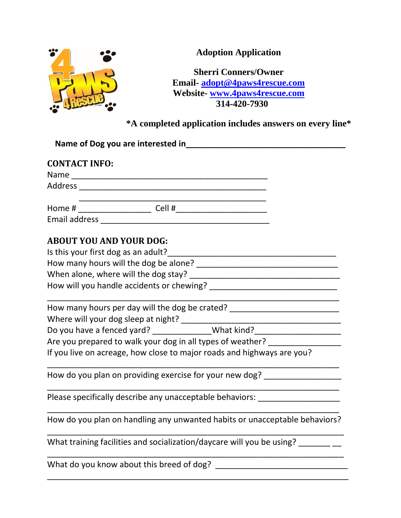

**Adoption Application**

**Sherri Conners/Owner Email- [adopt@4paws4rescue.com](mailto:adopt@4paws4rescue.com) Website- [www.4paws4rescue.com](http://www.4paws4rescue.com/) 314-420-7930**

**\*A completed application includes answers on every line\***

| <b>CONTACT INFO:</b>           |                                                                                                                         |
|--------------------------------|-------------------------------------------------------------------------------------------------------------------------|
|                                |                                                                                                                         |
|                                |                                                                                                                         |
|                                |                                                                                                                         |
|                                |                                                                                                                         |
| <b>ABOUT YOU AND YOUR DOG:</b> |                                                                                                                         |
|                                |                                                                                                                         |
|                                |                                                                                                                         |
|                                |                                                                                                                         |
|                                |                                                                                                                         |
|                                | How many hours per day will the dog be crated? _________________________________                                        |
|                                | Where will your dog sleep at night?<br>Do you have a fenced yard? ______________What kind? ____________________________ |
|                                |                                                                                                                         |
|                                | Are you prepared to walk your dog in all types of weather? _____________________                                        |
|                                | If you live on acreage, how close to major roads and highways are you?                                                  |
|                                | How do you plan on providing exercise for your new dog? ________________________                                        |
|                                | Please specifically describe any unacceptable behaviors: _______________________                                        |
|                                | How do you plan on handling any unwanted habits or unacceptable behaviors?                                              |
|                                | What training facilities and socialization/daycare will you be using?                                                   |
|                                | What do you know about this breed of dog?                                                                               |